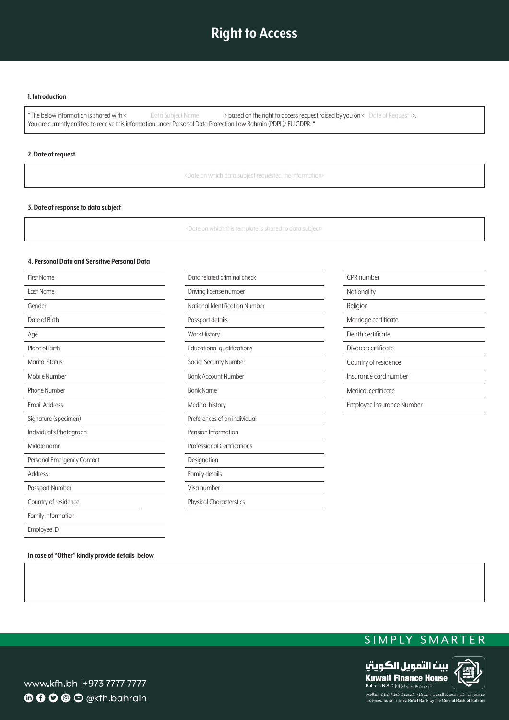# **Right to Access**

#### **I.** Introduction

"The below information is shared with < Data Subject Name > based on the right to access request raised by you on < Date of Request >. You are currently entitled to receive this information under Personal Data Protection Law Bahrain (PDPL)/EU GDPR. '

### **2.** Date of request

<Date on which data subject requested the information>

#### **3. Date of response to data subject**

<Date on which this template is shared to data subject>

#### **4. Personal Data and Sensitive Personal Data**

| <b>First Name</b>          | Data related criminal check        | CPR number                |
|----------------------------|------------------------------------|---------------------------|
| Last Name                  | Driving license number             | Nationality               |
| Gender                     | National Identification Number     | Religion                  |
| Date of Birth              | Passport details                   | Marriage certificate      |
| Age                        | <b>Work History</b>                | Death certificate         |
| Place of Birth             | Educational qualifications         | Divorce certificate       |
| <b>Marital Status</b>      | Social Security Number             | Country of residence      |
| Mobile Number              | <b>Bank Account Number</b>         | Insurance card number     |
| Phone Number               | <b>Bank Name</b>                   | Medical certificate       |
| <b>Email Address</b>       | Medical history                    | Employee Insurance Number |
| Signature (specimen)       | Preferences of an individual       |                           |
| Individual's Photograph    | Pension Information                |                           |
| Middle name                | <b>Professional Certifications</b> |                           |
| Personal Emergency Contact | Designation                        |                           |
| Address                    | Family details                     |                           |
| Passport Number            | Visa number                        |                           |
| Country of residence       | <b>Physical Characterstics</b>     |                           |
| Family Information         |                                    |                           |
| Employee ID                |                                    |                           |

In case of "Other" kindly provide details below,





www.kfh.bh |+973 7777 7777 **6000** O @kfh.bahrain